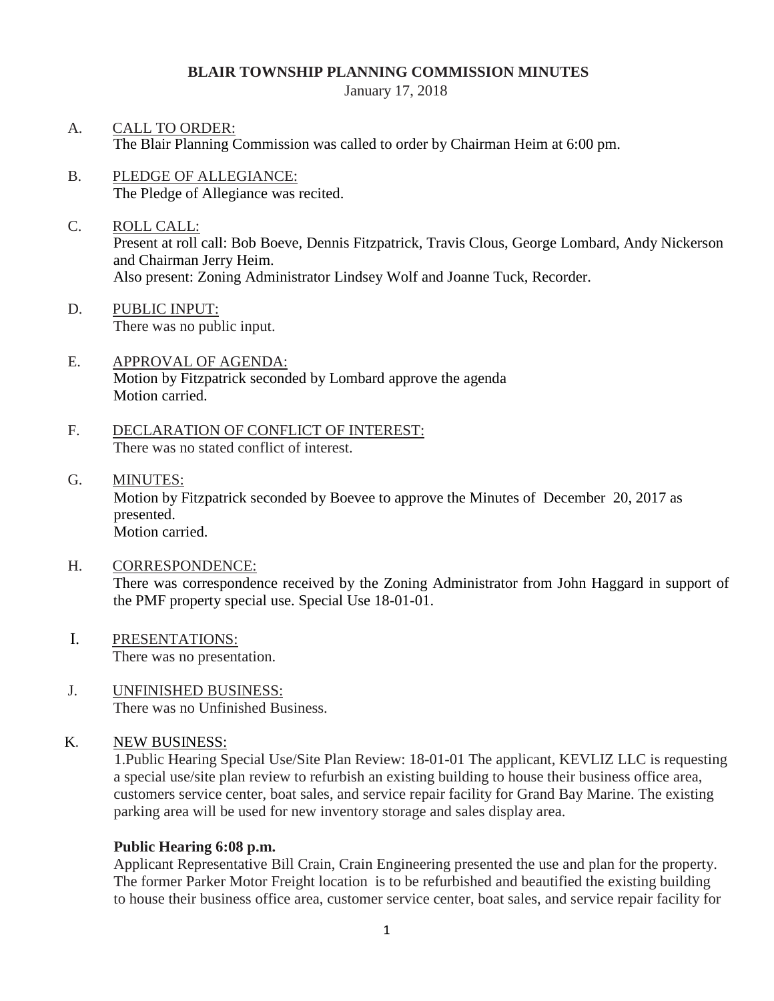#### **BLAIR TOWNSHIP PLANNING COMMISSION MINUTES**

January 17, 2018

- A. CALL TO ORDER: The Blair Planning Commission was called to order by Chairman Heim at 6:00 pm.
- B. PLEDGE OF ALLEGIANCE: The Pledge of Allegiance was recited.
- C. ROLL CALL: Present at roll call: Bob Boeve, Dennis Fitzpatrick, Travis Clous, George Lombard, Andy Nickerson and Chairman Jerry Heim. Also present: Zoning Administrator Lindsey Wolf and Joanne Tuck, Recorder.
- D. PUBLIC INPUT: There was no public input.
- E. APPROVAL OF AGENDA: Motion by Fitzpatrick seconded by Lombard approve the agenda Motion carried.
- F. DECLARATION OF CONFLICT OF INTEREST: There was no stated conflict of interest.
- G. MINUTES: Motion by Fitzpatrick seconded by Boevee to approve the Minutes of December 20, 2017 as presented. Motion carried.
- H. CORRESPONDENCE: There was correspondence received by the Zoning Administrator from John Haggard in support of the PMF property special use. Special Use 18-01-01.
- I. PRESENTATIONS: There was no presentation.
- J. UNFINISHED BUSINESS: There was no Unfinished Business.
- K. NEW BUSINESS:

 1.Public Hearing Special Use/Site Plan Review: 18-01-01 The applicant, KEVLIZ LLC is requesting a special use/site plan review to refurbish an existing building to house their business office area, customers service center, boat sales, and service repair facility for Grand Bay Marine. The existing parking area will be used for new inventory storage and sales display area.

#### **Public Hearing 6:08 p.m.**

Applicant Representative Bill Crain, Crain Engineering presented the use and plan for the property. The former Parker Motor Freight location is to be refurbished and beautified the existing building to house their business office area, customer service center, boat sales, and service repair facility for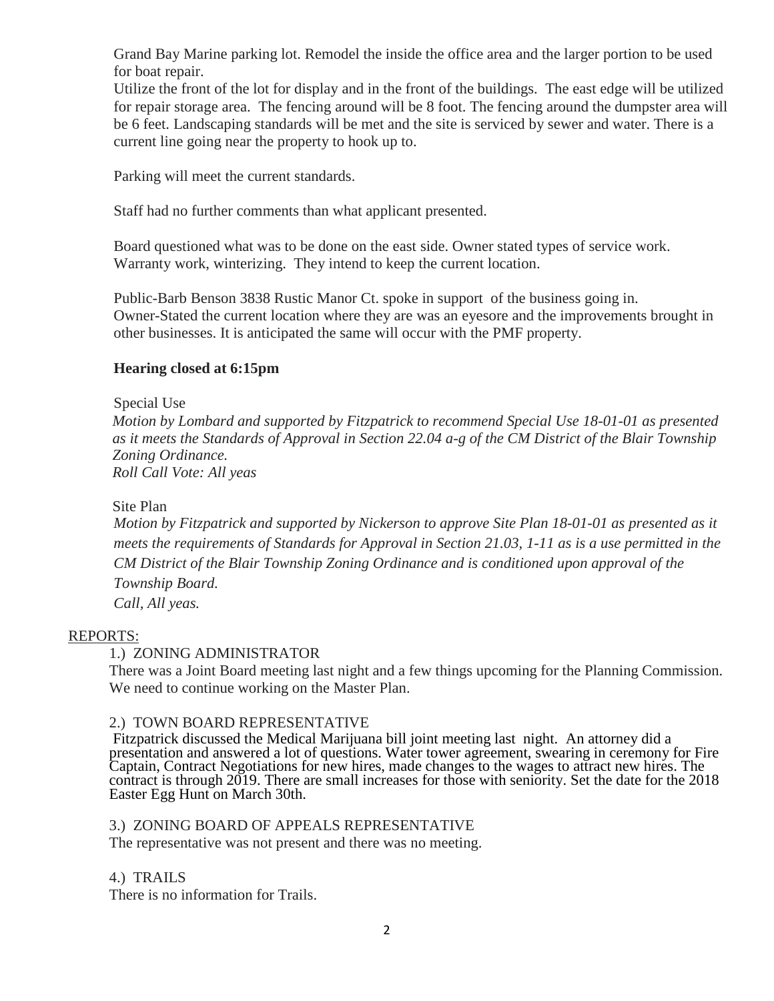Grand Bay Marine parking lot. Remodel the inside the office area and the larger portion to be used for boat repair.

Utilize the front of the lot for display and in the front of the buildings. The east edge will be utilized for repair storage area. The fencing around will be 8 foot. The fencing around the dumpster area will be 6 feet. Landscaping standards will be met and the site is serviced by sewer and water. There is a current line going near the property to hook up to.

Parking will meet the current standards.

Staff had no further comments than what applicant presented.

Board questioned what was to be done on the east side. Owner stated types of service work. Warranty work, winterizing. They intend to keep the current location.

Public-Barb Benson 3838 Rustic Manor Ct. spoke in support of the business going in. Owner-Stated the current location where they are was an eyesore and the improvements brought in other businesses. It is anticipated the same will occur with the PMF property.

# **Hearing closed at 6:15pm**

Special Use *Motion by Lombard and supported by Fitzpatrick to recommend Special Use 18-01-01 as presented as it meets the Standards of Approval in Section 22.04 a-g of the CM District of the Blair Township Zoning Ordinance. Roll Call Vote: All yeas*

#### Site Plan

*Motion by Fitzpatrick and supported by Nickerson to approve Site Plan 18-01-01 as presented as it meets the requirements of Standards for Approval in Section 21.03, 1-11 as is a use permitted in the CM District of the Blair Township Zoning Ordinance and is conditioned upon approval of the Township Board.* 

*Call, All yeas.*

# REPORTS:

# 1.) ZONING ADMINISTRATOR

There was a Joint Board meeting last night and a few things upcoming for the Planning Commission. We need to continue working on the Master Plan.

#### 2.) TOWN BOARD REPRESENTATIVE

Fitzpatrick discussed the Medical Marijuana bill joint meeting last night. An attorney did a presentation and answered a lot of questions. Water tower agreement, swearing in ceremony for Fire Captain, Contract Negotiations for new hires, made changes to the wages to attract new hires. The contract is through 2019. There are small increases for those with seniority. Set the date for the 2018 Easter Egg Hunt on March 30th.

#### 3.) ZONING BOARD OF APPEALS REPRESENTATIVE

The representative was not present and there was no meeting.

4.) TRAILS

There is no information for Trails.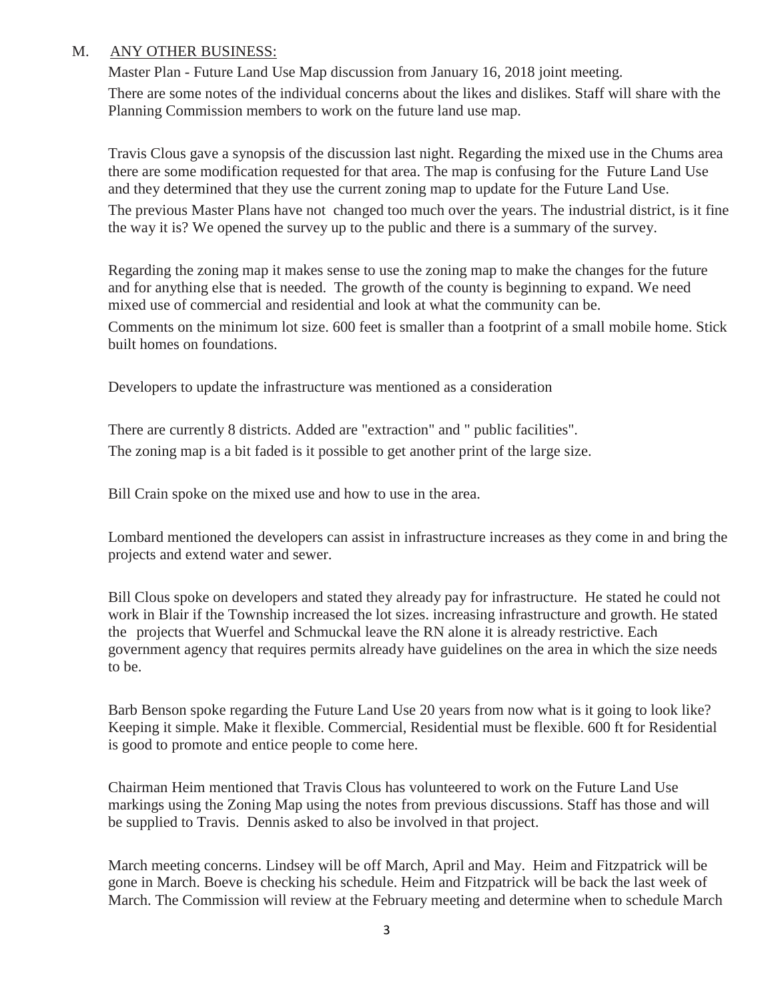# M. ANY OTHER BUSINESS:

Master Plan - Future Land Use Map discussion from January 16, 2018 joint meeting.

There are some notes of the individual concerns about the likes and dislikes. Staff will share with the Planning Commission members to work on the future land use map.

Travis Clous gave a synopsis of the discussion last night. Regarding the mixed use in the Chums area there are some modification requested for that area. The map is confusing for the Future Land Use and they determined that they use the current zoning map to update for the Future Land Use.

The previous Master Plans have not changed too much over the years. The industrial district, is it fine the way it is? We opened the survey up to the public and there is a summary of the survey.

Regarding the zoning map it makes sense to use the zoning map to make the changes for the future and for anything else that is needed. The growth of the county is beginning to expand. We need mixed use of commercial and residential and look at what the community can be.

Comments on the minimum lot size. 600 feet is smaller than a footprint of a small mobile home. Stick built homes on foundations.

Developers to update the infrastructure was mentioned as a consideration

There are currently 8 districts. Added are "extraction" and " public facilities". The zoning map is a bit faded is it possible to get another print of the large size.

Bill Crain spoke on the mixed use and how to use in the area.

Lombard mentioned the developers can assist in infrastructure increases as they come in and bring the projects and extend water and sewer.

Bill Clous spoke on developers and stated they already pay for infrastructure. He stated he could not work in Blair if the Township increased the lot sizes. increasing infrastructure and growth. He stated the projects that Wuerfel and Schmuckal leave the RN alone it is already restrictive. Each government agency that requires permits already have guidelines on the area in which the size needs to be.

Barb Benson spoke regarding the Future Land Use 20 years from now what is it going to look like? Keeping it simple. Make it flexible. Commercial, Residential must be flexible. 600 ft for Residential is good to promote and entice people to come here.

Chairman Heim mentioned that Travis Clous has volunteered to work on the Future Land Use markings using the Zoning Map using the notes from previous discussions. Staff has those and will be supplied to Travis. Dennis asked to also be involved in that project.

March meeting concerns. Lindsey will be off March, April and May. Heim and Fitzpatrick will be gone in March. Boeve is checking his schedule. Heim and Fitzpatrick will be back the last week of March. The Commission will review at the February meeting and determine when to schedule March